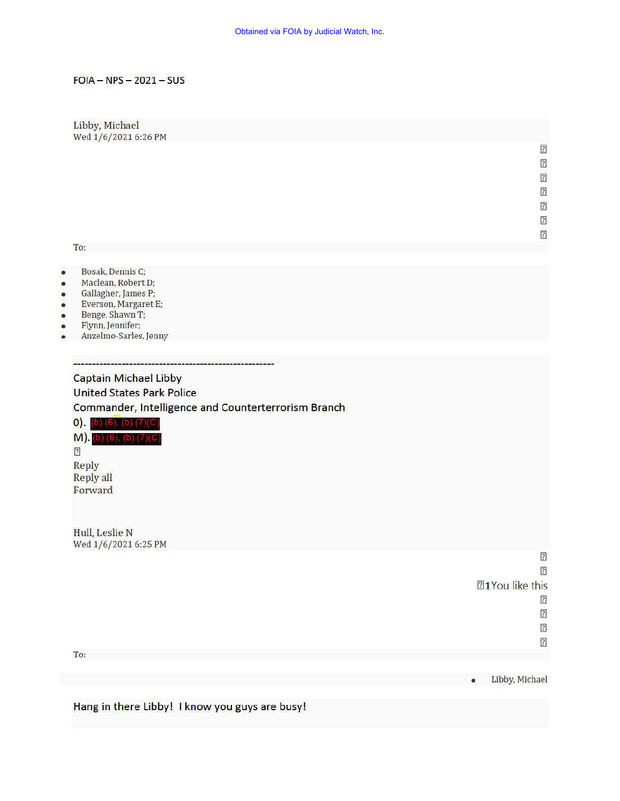### $FOIA - NPS - 2021 - SUS$

## Libby, Michael Wed 1/6/20216:26 PM  $\boxed{2}$  $\overline{2}$  $\boxed{2}$  $\boxed{2}$  $\boxed{2}$  $\sqrt{2}$  $[?]% \includegraphics[width=0.99\columnwidth,clip]{8Brito} \caption{The 3D (black) method is shown in the left panel. The left panel shows the corresponding $2$-thick, and the right panel shows the $2$-thick, and the right panel shows the $2$-thick, and the right panel shows the $2$-thick, and the right panel shows the $2$-thick, and the right panel shows the $2$-thick, and the right panel shows the $2$-thick, and the right panel shows the $2$-thick, and the right panel shows the $2$-thick, and the right panel shows the $2$-thick, and the right panel shows the $2$-thick, and the right panel shows the $2$-thick, and the right panel shows the $2$-thick, and the right panel shows the $2$-$ To:

- Bosak, Dennis C;
- Maclean, Robert D;
- Gallagher, james P;
- Everson, Margaret E;
- Benge, Shawn T;
- Flynn, Jennifer;
- Anzelmo-Sarles, jenny

<u> autoriliano e dicercione</u>

# Captain Michael Libby United States Park Police Commander, Intelligence and Counterterrorism Branch

 $0)$ . (b) (6), (b) (7)(C)

M). (b) (6). (b) (7)(C 171 Reply Reply all Forward

Hull, Leslie N Wed 1/6/2021 6:25 PM

 $\sqrt{2}$  $\sqrt{2}$ **Z1You like this** <sup>2</sup>  $\sqrt{2}$ <sup>2</sup> ?

To:

Libby, Michael

Hang in there Libby! I know you guys are busy!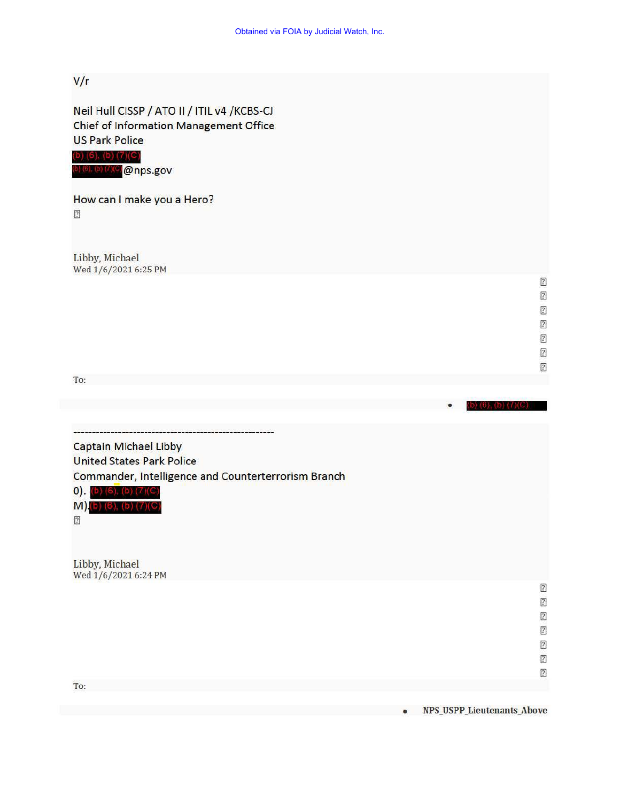VIr

Neil Hull CISSP / ATO II / ITIL v4 / KCBS-CJ Chief of Information Management Office US Park Police

(b) (6), (b) (7)(C) 0) (6). (b) (7) (C) @nps.gov

How can I make you a Hero?

 $\boxed{2}$ 

Libby, Michael Wed  $1/6/20216:25$  PM

> $\overline{?}$  $\overline{?}$  $[2] \centering% \includegraphics[width=1.0\textwidth]{Figures/PN1.png} \caption{The 3D (black) model with the same parameters. The blue line shows the same time. The red line shows the same time. The red line shows the same time. The red line shows the same time. The red line shows the same time. The red line shows the same time. The red line shows the same time. The red line shows the same time. The red line shows the same time. The red line shows the same time. The red line shows the same time. The red line shows the same time. The red line shows the same time. The red line shows the same time. The red line shows the same time. The red line shows the same time. The red line shows the same time. The red line shows the same time. The red line shows the same time. The red line shows the same time. The red line shows the same time. The red line shows the same time. The$  $\boxed{2}$  $[2] \centering% \includegraphics[width=1.0\textwidth]{images/TransY.pdf} \caption{The first two different values of $y$ and $z$ and $z$ are shown in the left (upper) and the right (lower) and the right (lower) are shown in the right (lower) and the right (lower) are shown in the right (lower) and the right (lower) are shown in the right (lower) and the right (lower) are shown in the right (lower) and the right (lower) are shown in the right (lower) and the right (lower) are shown in the right (lower) and the right (lower) are shown in the right (lower) and the right (lower) are shown in the right (lower) and the right (lower) are shown in the right (lower) and the right (lower) are shown in the right (lower) and the right (lower) are shown in the right (lower) and the right (lower)$

 $\sqrt{2}$  $\overline{2}$ 

To:

• Captain Michael Libby United States Park Police Commander, Intelligence and Counterterrorism Branch  $(b)$  (6), (b) (7)(C)  $M$ ) (b) (6), (b) (7)(C)  $\boxed{2}$ Libby, Michael Wed  $1/6/20216:24$  PM  $\overline{?}$  $[2] \centering% \includegraphics[width=1.0\textwidth]{Figures/PN1.png} \caption{The 3D (black) model with the same parameters. The blue line shows the number of times, and the blue line shows the number of times, and the blue line shows the number of times, and the blue line shows the number of times, and the blue line shows the number of times, and the blue line shows the number of times, and the blue line shows the number of times, and the blue line shows the number of times, and the blue line shows the number of times, and the blue line shows the number of times, and the blue line shows the number of times, and the blue line shows the number of times, and the blue line shows the number of times, and the blue line shows the number of times, and the blue line shows the number of times, and the blue line shows the number of times, and the blue line shows the number of times, and the blue line shows the number of$  $\overline{?}$  $\boxed{7}$  $\boxed{2}$  $\boxed{2}$  $\boxed{2}$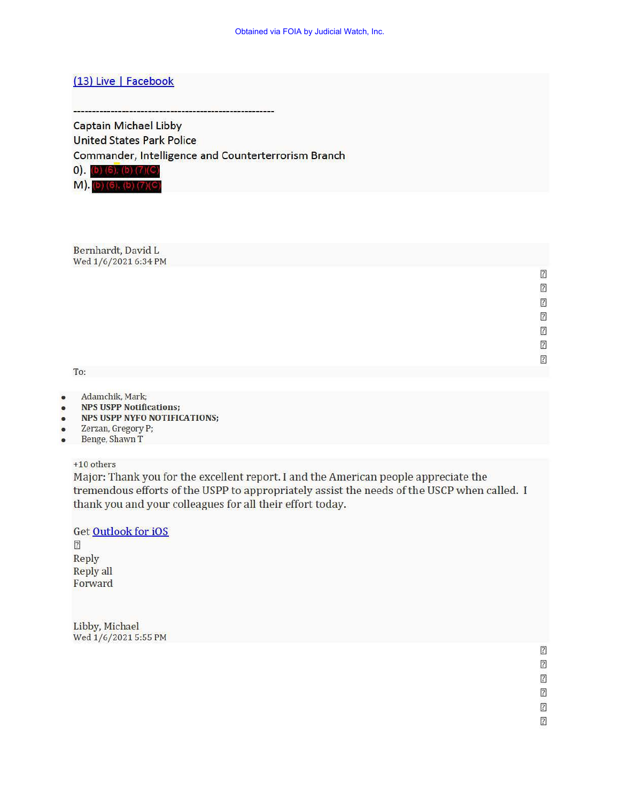# (13) Live | Facebook

Captain Michael Libby United States Park Police

Commander, Intelligence and Counterterrorism Branch

 $0)$ . (b) (6), (b) (7)(C)

M). (b) (6). (b) (7)(C)

Bernhardt, David L Wed  $1/6/20216:34$  PM

To:

- Adamchik, Mark;
- NPS USPP Notifications;
- NPS USPP NYFO NOTIFICATIONS;
- Zerzan, Gregory P;
- Benge, Shawn T

+10 others

Major: Thank you for the excellent report. I and the American people appreciate the tremendous efforts of the USPP to appropriately assist the needs of the USCP when called. I thank you and your colleagues for all their effort today.

Get Outlook for iOS <sup>2</sup> Reply Reply all Forward

Libby, Michael Wed 1/6/2021 5:55 PM

> $\boxed{2}$  $\overline{?}$  $\boxed{?}$  $\sqrt{2}$  $\boxed{2}$

> > $\boxed{2}$

 $\sqrt{2}$  $\sqrt{2}$ [7] <sup>2</sup> 2 <sup>2</sup>  $\sqrt{2}$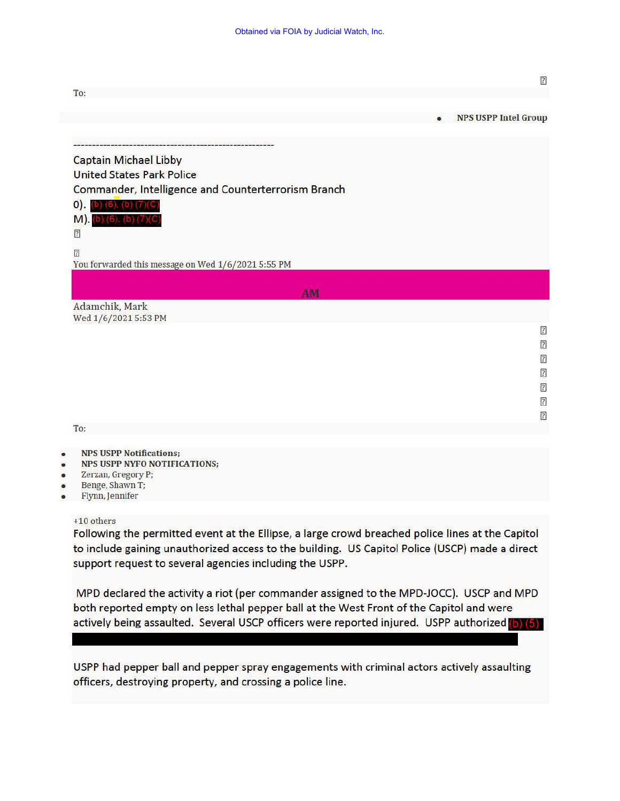|                                                     | $[2] \centering% \includegraphics[width=1.0\textwidth]{Figures/PN1.png} \caption{The 3D (black) model with the same parameters (blue) and (red) and (blue) and (blue) are (red) and (blue) are (red). The left side is the same as the right side is the same as the right side is the same as the right side is the same as the right side is the same as the right side is the same as the right side is the same as the right side is the same as the right side is the same as the right side is the same as the right side is the same as the right side is the same as the right side is the same as the right side is the same as the right side is the same as the right side is the same as the right side is the same as the right side is the same as the right side is the same as the right side is the same as the right side is the same as the right side is$                                      |
|-----------------------------------------------------|--------------------------------------------------------------------------------------------------------------------------------------------------------------------------------------------------------------------------------------------------------------------------------------------------------------------------------------------------------------------------------------------------------------------------------------------------------------------------------------------------------------------------------------------------------------------------------------------------------------------------------------------------------------------------------------------------------------------------------------------------------------------------------------------------------------------------------------------------------------------------------------------------------------------|
| To:                                                 |                                                                                                                                                                                                                                                                                                                                                                                                                                                                                                                                                                                                                                                                                                                                                                                                                                                                                                                    |
|                                                     | <b>NPS USPP Intel Group</b>                                                                                                                                                                                                                                                                                                                                                                                                                                                                                                                                                                                                                                                                                                                                                                                                                                                                                        |
|                                                     |                                                                                                                                                                                                                                                                                                                                                                                                                                                                                                                                                                                                                                                                                                                                                                                                                                                                                                                    |
| <b>Captain Michael Libby</b>                        |                                                                                                                                                                                                                                                                                                                                                                                                                                                                                                                                                                                                                                                                                                                                                                                                                                                                                                                    |
| <b>United States Park Police</b>                    |                                                                                                                                                                                                                                                                                                                                                                                                                                                                                                                                                                                                                                                                                                                                                                                                                                                                                                                    |
| Commander, Intelligence and Counterterrorism Branch |                                                                                                                                                                                                                                                                                                                                                                                                                                                                                                                                                                                                                                                                                                                                                                                                                                                                                                                    |
| $\mathsf{O}$ ).<br>$(6)$ $(b)$ $(7)$                |                                                                                                                                                                                                                                                                                                                                                                                                                                                                                                                                                                                                                                                                                                                                                                                                                                                                                                                    |
| M). (b) (6), (b) (7)(C                              |                                                                                                                                                                                                                                                                                                                                                                                                                                                                                                                                                                                                                                                                                                                                                                                                                                                                                                                    |
| $\sqrt{2}$                                          |                                                                                                                                                                                                                                                                                                                                                                                                                                                                                                                                                                                                                                                                                                                                                                                                                                                                                                                    |
| $\boxed{2}$                                         |                                                                                                                                                                                                                                                                                                                                                                                                                                                                                                                                                                                                                                                                                                                                                                                                                                                                                                                    |
| You forwarded this message on Wed 1/6/2021 5:55 PM  |                                                                                                                                                                                                                                                                                                                                                                                                                                                                                                                                                                                                                                                                                                                                                                                                                                                                                                                    |
|                                                     |                                                                                                                                                                                                                                                                                                                                                                                                                                                                                                                                                                                                                                                                                                                                                                                                                                                                                                                    |
| AM                                                  |                                                                                                                                                                                                                                                                                                                                                                                                                                                                                                                                                                                                                                                                                                                                                                                                                                                                                                                    |
| Adamchik, Mark<br>Wed 1/6/2021 5:53 PM              |                                                                                                                                                                                                                                                                                                                                                                                                                                                                                                                                                                                                                                                                                                                                                                                                                                                                                                                    |
|                                                     | $\sqrt{2}$                                                                                                                                                                                                                                                                                                                                                                                                                                                                                                                                                                                                                                                                                                                                                                                                                                                                                                         |
|                                                     | $\boxed{2}$                                                                                                                                                                                                                                                                                                                                                                                                                                                                                                                                                                                                                                                                                                                                                                                                                                                                                                        |
|                                                     | $[2] \centering% \includegraphics[width=1.0\textwidth]{Figures/PN1.png} \caption{The 3D (black) model with the same parameters. The blue line shows the same time. The blue line shows the same time. The red line shows the same time. The red line shows the same time. The red line shows the same time. The red line shows the same time. The red line shows the same time. The red line shows the same time. The red line shows the same time. The red line shows the same time. The red line shows the same time. The red line shows the same time. The red line shows the same time. The red line shows the same time. The red line shows the same time. The red line shows the same time. The red line shows the same time. The red line shows the same time. The red line shows the same time. The red line shows the same time. The red line shows the same time. The red line shows the same time. The$ |
|                                                     | $\sqrt{2}$                                                                                                                                                                                                                                                                                                                                                                                                                                                                                                                                                                                                                                                                                                                                                                                                                                                                                                         |
|                                                     | $[2] \centering% \includegraphics[width=1.0\textwidth]{images/TransY.pdf} \caption{The first two different values of $y$ and $y$ and $z$ are the same as in Figure \ref{fig:max}.} \label{fig:max}$                                                                                                                                                                                                                                                                                                                                                                                                                                                                                                                                                                                                                                                                                                                |
|                                                     | $\overline{?}$                                                                                                                                                                                                                                                                                                                                                                                                                                                                                                                                                                                                                                                                                                                                                                                                                                                                                                     |
|                                                     | $[2] \centering% \includegraphics[width=1.0\textwidth]{Figures/PD1.png} \caption{The 3D (black) model with the same parameters. The blue line shows the same time. The blue line shows the same time. The red line shows the same time. The red line shows the same time. The red line shows the same time. The red line shows the same time. The red line shows the same time. The red line shows the same time. The red line shows the same time. The red line shows the same time. The red line shows the same time. The red line shows the same time. The red line shows the same time. The red line shows the same time. The red line shows the same time. The red line shows the same time. The red line shows the same time. The red line shows the same time. The red line shows the same time. The red line shows the same time. The red line shows the same time. The red line shows the same time. The$ |

To:

#### • NPS USPP Notifications;

- NPS USPP NYFO NOTIFICATIONS;
- Zerzan, Gregory P;
- Benge, Shawn T;
- Flynn, Jennifer

#### +10 others

Following the permitted event at the Ellipse, a large crowd breached police lines at the Capitol to include gaining unauthorized access to the building. US Capitol Police (USCP) made a direct support request to several agencies including the USPP.

MPD declared the activity a riot (per commander assigned to the MPD-JOCC). USCP and MPD both reported empty on less lethal pepper ball at the West Front of the Capitol and were actively being assaulted. Several USCP officers were reported injured. USPP authorized (b) (5)

USPP had pepper ball and pepper spray engagements with criminal actors actively assaulting officers, destroying property, and crossing a police line.